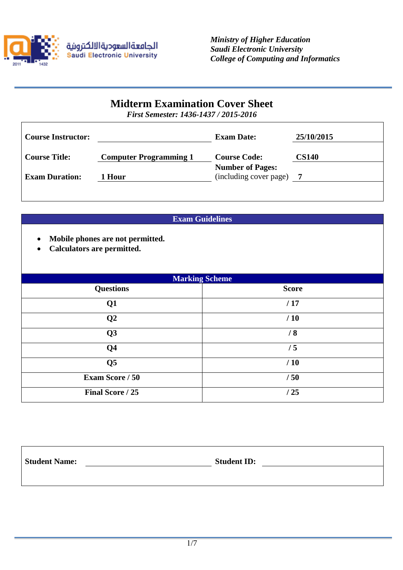

# **Midterm Examination Cover Sheet**

*First Semester: 1436-1437 / 2015-2016*

| <b>Course Instructor:</b> |                               | <b>Exam Date:</b>                                 | 25/10/2015   |
|---------------------------|-------------------------------|---------------------------------------------------|--------------|
| <b>Course Title:</b>      | <b>Computer Programming 1</b> | <b>Course Code:</b>                               | <b>CS140</b> |
| <b>Exam Duration:</b>     | 1 Hour                        | <b>Number of Pages:</b><br>(including cover page) |              |
|                           |                               |                                                   |              |

# **Exam Guidelines**

- **Mobile phones are not permitted.**
- **Calculators are permitted.**

| <b>Marking Scheme</b>  |              |  |  |  |
|------------------------|--------------|--|--|--|
| <b>Questions</b>       | <b>Score</b> |  |  |  |
| Q1                     | /17          |  |  |  |
| Q <sub>2</sub>         | /10          |  |  |  |
| Q3                     | /8           |  |  |  |
| Q <sub>4</sub>         | /5           |  |  |  |
| Q <sub>5</sub>         | /10          |  |  |  |
| <b>Exam Score / 50</b> | /50          |  |  |  |
| Final Score / 25       | /25          |  |  |  |

| <b>Student Name:</b> | <b>Student ID:</b> |  |
|----------------------|--------------------|--|
|                      |                    |  |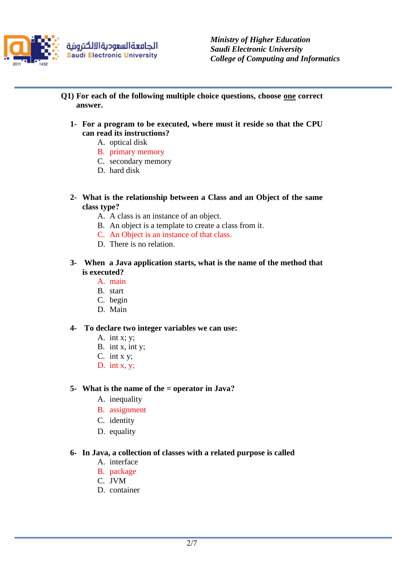

*Ministry of Higher Education Saudi Electronic University College of Computing and Informatics*

- **Q1) For each of the following multiple choice questions, choose one correct answer.**
	- **1- For a program to be executed, where must it reside so that the CPU can read its instructions?** 
		- A. optical disk
		- B. primary memory
		- C. secondary memory
		- D. hard disk
	- **2- What is the relationship between a Class and an Object of the same class type?**
		- A. A class is an instance of an object.
		- B. An object is a template to create a class from it.
		- C. An Object is an instance of that class.
		- D. There is no relation.
	- **3- When a Java application starts, what is the name of the method that is executed?**
		- A. main
		- B. start
		- C. begin
		- D. Main

### **4- To declare two integer variables we can use:**

- A. int x; y;
- B. int x, int y;
- C. int x y;
- D. int x, y;

## **5- What is the name of the = operator in Java?**

- A. inequality
- B. assignment
- C. identity
- D. equality

### **6- In Java, a collection of classes with a related purpose is called**

- A. interface
- B. package
- C. JVM
- D. container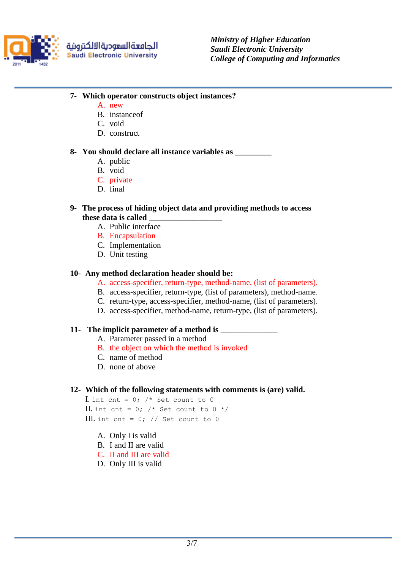

الجامعةالسعوديةالالكترونية **Saudi Electronic University** 

- **7- Which operator constructs object instances?**
	- A. new
	- B. instanceof
	- C. void
	- D. construct

## **8- You should declare all instance variables as \_\_\_\_\_\_\_\_\_**

- A. public
- B. void
- C. private
- D. final

## **9- The process of hiding object data and providing methods to access these data is called \_\_\_\_\_\_\_\_\_\_\_\_\_\_\_\_\_\_**

- A. Public interface
- B. Encapsulation
- C. Implementation
- D. Unit testing

## **10- Any method declaration header should be:**

- A. access-specifier, return-type, method-name, (list of parameters).
- B. access-specifier, return-type, (list of parameters), method-name.
- C. return-type, access-specifier, method-name, (list of parameters).
- D. access-specifier, method-name, return-type, (list of parameters).

## **11- The implicit parameter of a method is \_\_\_\_\_\_\_\_\_\_\_\_\_\_**

- A. Parameter passed in a method
- B. the object on which the method is invoked
- C. name of method
- D. none of above

## **12- Which of the following statements with comments is (are) valid.**

I. int cnt =  $0$ ; /\* Set count to 0 II. int cnt = 0;  $/*$  Set count to 0  $*/$ III. int cnt =  $0$ ; // Set count to 0

- A. Only I is valid
- B. I and II are valid
- C. II and III are valid
- D. Only III is valid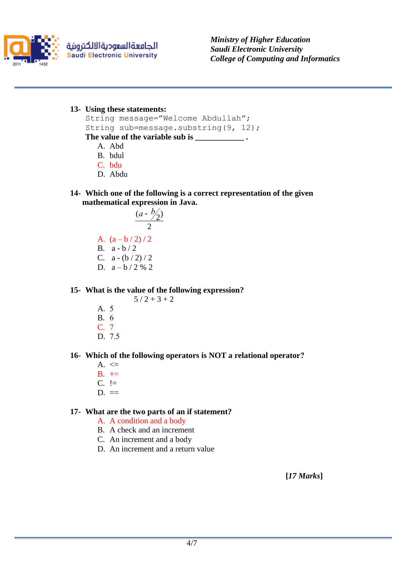

الجامعةالسعوديةالالكترونية **Saudi Electronic University**  *Ministry of Higher Education Saudi Electronic University College of Computing and Informatics*

**13- Using these statements:** 

```
String message="Welcome Abdullah"; 
String sub=message.substring(9, 12); 
The value of the variable sub is ____________ .
```
- A. Abd
- B. bdul
- C. bdu
- D. Abdu
- **14- Which one of the following is a correct representation of the given mathematical expression in Java.**

$$
\frac{(a - b/2)}{2}
$$
  
A.  $(a - b/2)/2$   
B.  $a - b/2$   
C.  $a - (b/2)/2$   
D.  $a - b/2 \frac{6}{2} \approx 2$ 

#### **15- What is the value of the following expression?**  $5/2 + 3 + 2$

- A. 5 B. 6 C. 7
- D. 7.5

## **16- Which of the following operators is NOT a relational operator?**

- A.  $\leq$
- $B. +=$
- $C. \equiv$
- $D. \equiv$

## **17- What are the two parts of an if statement?**

- A. A condition and a body
- B. A check and an increment
- C. An increment and a body
- D. An increment and a return value

**[***17 Marks***]**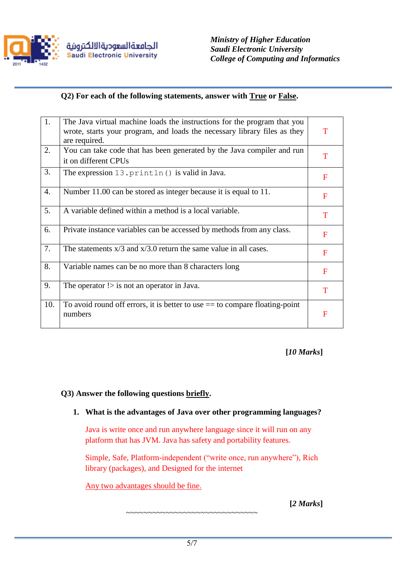

# **Q2) For each of the following statements, answer with True or False.**

| 1.  | The Java virtual machine loads the instructions for the program that you<br>wrote, starts your program, and loads the necessary library files as they<br>are required. | T            |
|-----|------------------------------------------------------------------------------------------------------------------------------------------------------------------------|--------------|
| 2.  | You can take code that has been generated by the Java compiler and run<br>it on different CPUs                                                                         | T            |
| 3.  | The expression 13. println() is valid in Java.                                                                                                                         | $\mathbf F$  |
| 4.  | Number 11.00 can be stored as integer because it is equal to 11.                                                                                                       | F            |
| 5.  | A variable defined within a method is a local variable.                                                                                                                | T            |
| 6.  | Private instance variables can be accessed by methods from any class.                                                                                                  | F            |
| 7.  | The statements $x/3$ and $x/3.0$ return the same value in all cases.                                                                                                   | F            |
| 8.  | Variable names can be no more than 8 characters long                                                                                                                   | $\mathbf{F}$ |
| 9.  | The operator $\geq$ is not an operator in Java.                                                                                                                        | T            |
| 10. | To avoid round off errors, it is better to use $==$ to compare floating-point<br>numbers                                                                               | F            |

**[***10 Marks***]**

## **Q3) Answer the following questions briefly.**

## **1. What is the advantages of Java over other programming languages?**

Java is write once and run anywhere language since it will run on any platform that has JVM. Java has safety and portability features.

Simple, Safe, Platform-independent ("write once, run anywhere"), Rich library (packages), and Designed for the internet

~~~~~~~~~~~~~~~~~~~~~~~~~~~~~~

Any two advantages should be fine.

**[***2 Marks***]**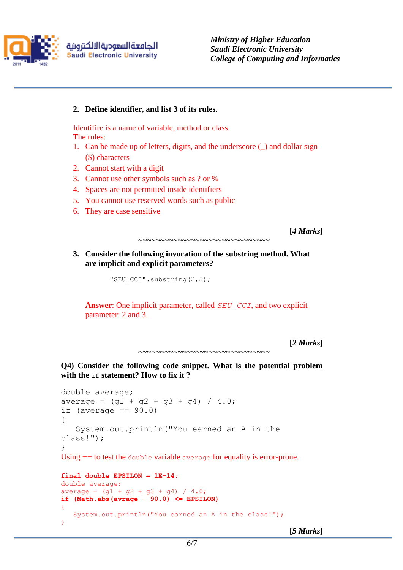

الجامعةالسعوديةالالكترونية **Saudi Electronic University**  *Ministry of Higher Education Saudi Electronic University College of Computing and Informatics*

## **2. Define identifier, and list 3 of its rules.**

Identifire is a name of variable, method or class. The rules:

- 1. Can be made up of letters, digits, and the underscore (\_) and dollar sign (\$) characters
- 2. Cannot start with a digit
- 3. Cannot use other symbols such as ? or %
- 4. Spaces are not permitted inside identifiers
- 5. You cannot use reserved words such as public
- 6. They are case sensitive

**[***4 Marks***]**

## **3. Consider the following invocation of the substring method. What are implicit and explicit parameters?**

~~~~~~~~~~~~~~~~~~~~~~~~~~~~~~

"SEU\_CCI".substring(2,3);

**Answer**: One implicit parameter, called *SEU\_CCI*, and two explicit parameter: 2 and 3.

```
[2 Marks]
~~~~~~~~~~~~~~~~~~~~~~~~~~~~~~~~
```
**Q4) Consider the following code snippet. What is the potential problem with the if statement? How to fix it ?**

```
double average;
average = (q1 + q2 + q3 + q4) / 4.0;if (average == 90.0)
{
    System.out.println("You earned an A in the 
class!");
}
Using == to test the double variable average for equality is error-prone.
final double EPSILON = 1E-14;
double average;
average = (g1 + g2 + g3 + g4) / 4.0;if (Math.abs(avrage – 90.0) <= EPSILON)
{
    System.out.println("You earned an A in the class!");
}
```
**[***5 Marks***]**